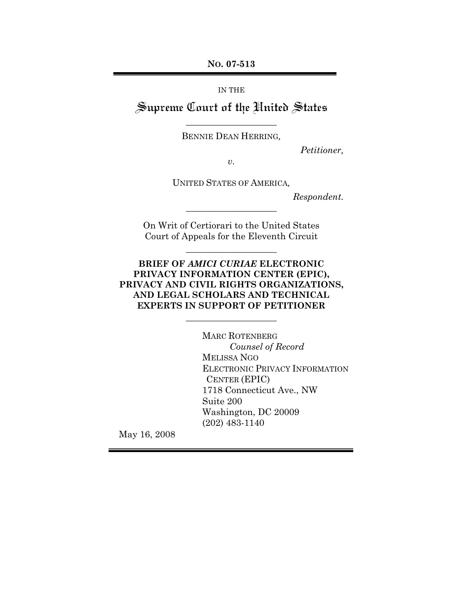**NO. 07-513**

IN THE

Supreme Court of the United States \_\_\_\_\_\_\_\_\_\_\_\_\_\_\_\_\_\_\_\_

BENNIE DEAN HERRING*,*

*Petitioner,*

*v.*

UNITED STATES OF AMERICA*,*

*Respondent.*

On Writ of Certiorari to the United States Court of Appeals for the Eleventh Circuit

\_\_\_\_\_\_\_\_\_\_\_\_\_\_\_\_\_\_\_\_

\_\_\_\_\_\_\_\_\_\_\_\_\_\_\_\_\_\_\_\_

**BRIEF OF** *AMICI CURIAE* **ELECTRONIC PRIVACY INFORMATION CENTER (EPIC), PRIVACY AND CIVIL RIGHTS ORGANIZATIONS, AND LEGAL SCHOLARS AND TECHNICAL EXPERTS IN SUPPORT OF PETITIONER**

**\_\_\_\_\_\_\_\_\_\_\_\_\_\_\_\_\_\_\_\_**

MARC ROTENBERG *Counsel of Record* MELISSA NGO ELECTRONIC PRIVACY INFORMATION CENTER (EPIC) 1718 Connecticut Ave., NW Suite 200 Washington, DC 20009 (202) 483-1140

May 16, 2008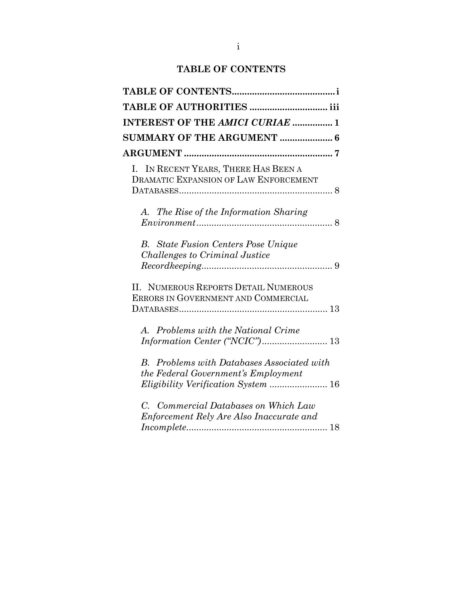# **TABLE OF CONTENTS**

| <b>INTEREST OF THE AMICI CURIAE  1</b>                                                   |  |
|------------------------------------------------------------------------------------------|--|
| <b>SUMMARY OF THE ARGUMENT  6</b>                                                        |  |
|                                                                                          |  |
| I. IN RECENT YEARS, THERE HAS BEEN A<br><b>DRAMATIC EXPANSION OF LAW ENFORCEMENT</b>     |  |
| A. The Rise of the Information Sharing                                                   |  |
| <b>B.</b> State Fusion Centers Pose Unique<br>Challenges to Criminal Justice             |  |
| II. NUMEROUS REPORTS DETAIL NUMEROUS<br>ERRORS IN GOVERNMENT AND COMMERCIAL              |  |
| A. Problems with the National Crime<br>Information Center ("NCIC") 13                    |  |
| <b>B.</b> Problems with Databases Associated with<br>the Federal Government's Employment |  |
| C. Commercial Databases on Which Law<br>Enforcement Rely Are Also Inaccurate and         |  |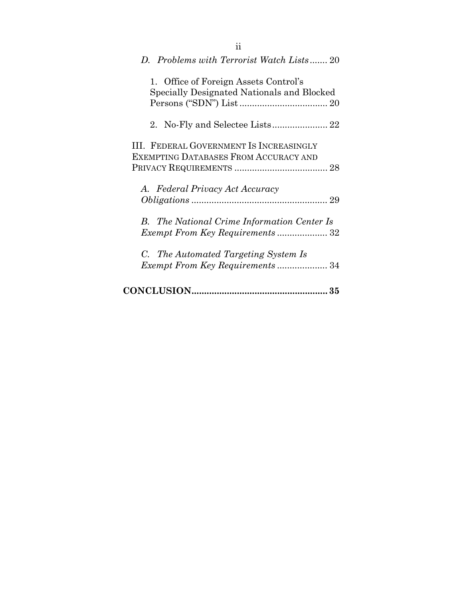| D. Problems with Terrorist Watch Lists 20                                               |
|-----------------------------------------------------------------------------------------|
| 1. Office of Foreign Assets Control's<br>Specially Designated Nationals and Blocked     |
| $2_{-}$                                                                                 |
| III. FEDERAL GOVERNMENT IS INCREASINGLY<br><b>EXEMPTING DATABASES FROM ACCURACY AND</b> |
| A. Federal Privacy Act Accuracy                                                         |
| <b>B.</b> The National Crime Information Center Is                                      |
| C. The Automated Targeting System Is<br>Exempt From Key Requirements 34                 |
|                                                                                         |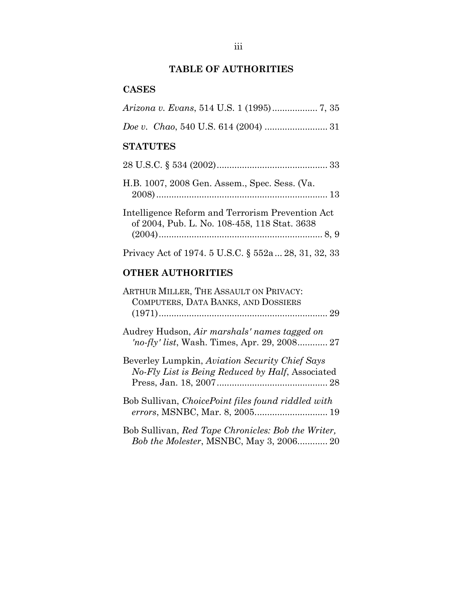# **TABLE OF AUTHORITIES**

## **CASES**

## **STATUTES**

| H.B. 1007, 2008 Gen. Assem., Spec. Sess. (Va.                                                    |
|--------------------------------------------------------------------------------------------------|
| Intelligence Reform and Terrorism Prevention Act<br>of 2004, Pub. L. No. 108-458, 118 Stat. 3638 |
| Privacy Act of 1974. 5 U.S.C. § 552a  28, 31, 32, 33                                             |

## **OTHER AUTHORITIES**

| ARTHUR MILLER, THE ASSAULT ON PRIVACY:<br>COMPUTERS, DATA BANKS, AND DOSSIERS                      |
|----------------------------------------------------------------------------------------------------|
|                                                                                                    |
| Audrey Hudson, Air marshals' names tagged on                                                       |
| Beverley Lumpkin, Aviation Security Chief Says<br>No-Fly List is Being Reduced by Half, Associated |
| Bob Sullivan, ChoicePoint files found riddled with                                                 |
| Bob Sullivan, Red Tape Chronicles: Bob the Writer,<br>Bob the Molester, MSNBC, May 3, 2006 20      |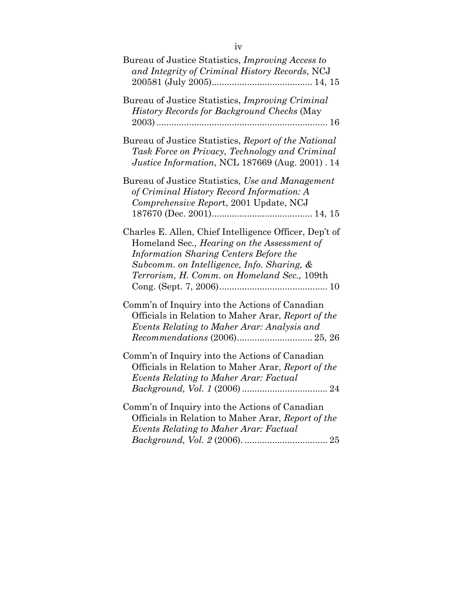| Bureau of Justice Statistics, <i>Improving Access to</i><br>and Integrity of Criminal History Records, NCJ                                                                                                                                          |
|-----------------------------------------------------------------------------------------------------------------------------------------------------------------------------------------------------------------------------------------------------|
| Bureau of Justice Statistics, <i>Improving Criminal</i><br>History Records for Background Checks (May                                                                                                                                               |
| Bureau of Justice Statistics, Report of the National<br>Task Force on Privacy, Technology and Criminal<br>Justice Information, NCL 187669 (Aug. 2001). 14                                                                                           |
| Bureau of Justice Statistics, Use and Management<br>of Criminal History Record Information: A<br>Comprehensive Report, 2001 Update, NCJ                                                                                                             |
| Charles E. Allen, Chief Intelligence Officer, Dep't of<br>Homeland Sec., <i>Hearing on the Assessment of</i><br>Information Sharing Centers Before the<br>Subcomm. on Intelligence, Info. Sharing, &<br>Terrorism, H. Comm. on Homeland Sec., 109th |
| Comm'n of Inquiry into the Actions of Canadian<br>Officials in Relation to Maher Arar, Report of the<br>Events Relating to Maher Arar: Analysis and                                                                                                 |
| Comm'n of Inquiry into the Actions of Canadian<br>Officials in Relation to Maher Arar, Report of the<br>Events Relating to Maher Arar: Factual                                                                                                      |
| Comm'n of Inquiry into the Actions of Canadian<br>Officials in Relation to Maher Arar, Report of the<br>Events Relating to Maher Arar: Factual                                                                                                      |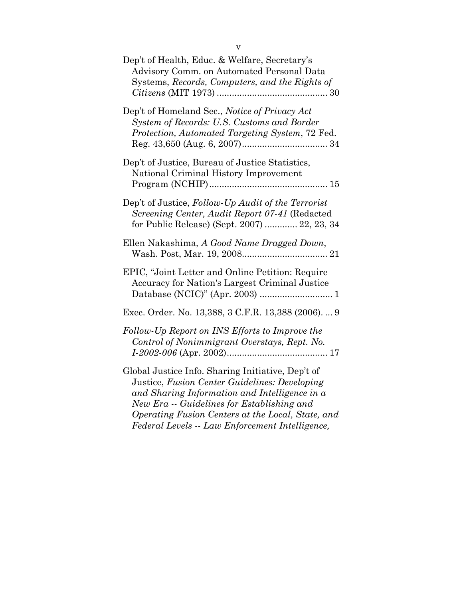| Dep't of Health, Educ. & Welfare, Secretary's<br>Advisory Comm. on Automated Personal Data<br>Systems, Records, Computers, and the Rights of                                                                                                                                                              |
|-----------------------------------------------------------------------------------------------------------------------------------------------------------------------------------------------------------------------------------------------------------------------------------------------------------|
| Dep't of Homeland Sec., Notice of Privacy Act<br>System of Records: U.S. Customs and Border<br>Protection, Automated Targeting System, 72 Fed.                                                                                                                                                            |
| Dep't of Justice, Bureau of Justice Statistics,<br>National Criminal History Improvement                                                                                                                                                                                                                  |
| Dep't of Justice, Follow-Up Audit of the Terrorist<br>Screening Center, Audit Report 07-41 (Redacted<br>for Public Release) (Sept. 2007)  22, 23, 34                                                                                                                                                      |
| Ellen Nakashima, A Good Name Dragged Down,                                                                                                                                                                                                                                                                |
| EPIC, "Joint Letter and Online Petition: Require<br>Accuracy for Nation's Largest Criminal Justice                                                                                                                                                                                                        |
| Exec. Order. No. 13,388, 3 C.F.R. 13,388 (2006).  9                                                                                                                                                                                                                                                       |
| Follow-Up Report on INS Efforts to Improve the<br>Control of Nonimmigrant Overstays, Rept. No.                                                                                                                                                                                                            |
| Global Justice Info. Sharing Initiative, Dep't of<br>Justice, Fusion Center Guidelines: Developing<br>and Sharing Information and Intelligence in a<br>New Era -- Guidelines for Establishing and<br>Operating Fusion Centers at the Local, State, and<br>Federal Levels -- Law Enforcement Intelligence, |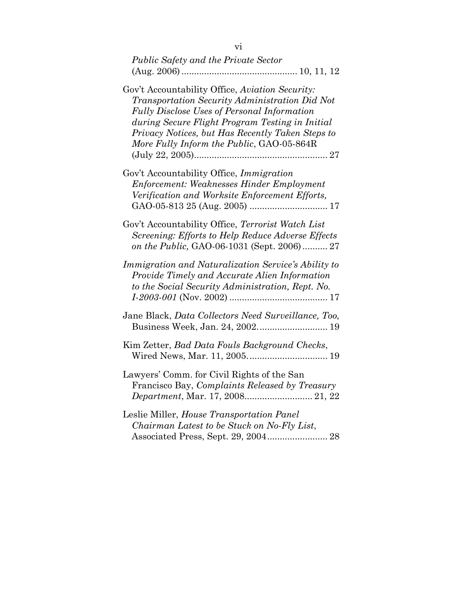| <b>Public Safety and the Private Sector</b>                                                                                                                                                                                                                                                                 |
|-------------------------------------------------------------------------------------------------------------------------------------------------------------------------------------------------------------------------------------------------------------------------------------------------------------|
| Gov't Accountability Office, Aviation Security:<br>Transportation Security Administration Did Not<br><b>Fully Disclose Uses of Personal Information</b><br>during Secure Flight Program Testing in Initial<br>Privacy Notices, but Has Recently Taken Steps to<br>More Fully Inform the Public, GAO-05-864R |
| Gov't Accountability Office, <i>Immigration</i><br><b>Enforcement: Weaknesses Hinder Employment</b><br>Verification and Worksite Enforcement Efforts,                                                                                                                                                       |
| Gov't Accountability Office, Terrorist Watch List<br>Screening: Efforts to Help Reduce Adverse Effects<br>on the Public, GAO-06-1031 (Sept. 2006) 27                                                                                                                                                        |
| Immigration and Naturalization Service's Ability to<br>Provide Timely and Accurate Alien Information<br>to the Social Security Administration, Rept. No.                                                                                                                                                    |
| Jane Black, Data Collectors Need Surveillance, Too,<br>Business Week, Jan. 24, 2002 19                                                                                                                                                                                                                      |
| Kim Zetter, Bad Data Fouls Background Checks,<br>Wired News, Mar. 11, 2005 19                                                                                                                                                                                                                               |
| Lawyers' Comm. for Civil Rights of the San<br>Francisco Bay, Complaints Released by Treasury                                                                                                                                                                                                                |
| Leslie Miller, House Transportation Panel<br>Chairman Latest to be Stuck on No-Fly List,<br>Associated Press, Sept. 29, 2004 28                                                                                                                                                                             |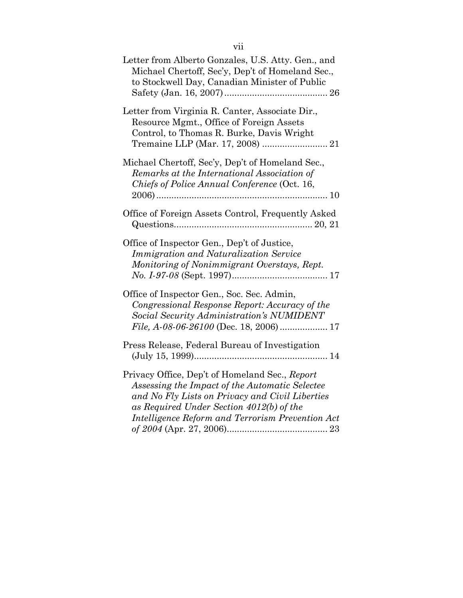| Letter from Alberto Gonzales, U.S. Atty. Gen., and<br>Michael Chertoff, Sec'y, Dep't of Homeland Sec.,<br>to Stockwell Day, Canadian Minister of Public                                                                                             |
|-----------------------------------------------------------------------------------------------------------------------------------------------------------------------------------------------------------------------------------------------------|
| Letter from Virginia R. Canter, Associate Dir.,<br>Resource Mgmt., Office of Foreign Assets<br>Control, to Thomas R. Burke, Davis Wright                                                                                                            |
| Michael Chertoff, Sec'y, Dep't of Homeland Sec.,<br>Remarks at the International Association of<br>Chiefs of Police Annual Conference (Oct. 16,                                                                                                     |
| Office of Foreign Assets Control, Frequently Asked                                                                                                                                                                                                  |
| Office of Inspector Gen., Dep't of Justice,<br><b>Immigration and Naturalization Service</b><br>Monitoring of Nonimmigrant Overstays, Rept.                                                                                                         |
| Office of Inspector Gen., Soc. Sec. Admin,<br>Congressional Response Report: Accuracy of the<br>Social Security Administration's NUMIDENT<br>File, A-08-06-26100 (Dec. 18, 2006)  17                                                                |
| Press Release, Federal Bureau of Investigation                                                                                                                                                                                                      |
| Privacy Office, Dep't of Homeland Sec., Report<br>Assessing the Impact of the Automatic Selectee<br>and No Fly Lists on Privacy and Civil Liberties<br>as Required Under Section 4012(b) of the<br>Intelligence Reform and Terrorism Prevention Act |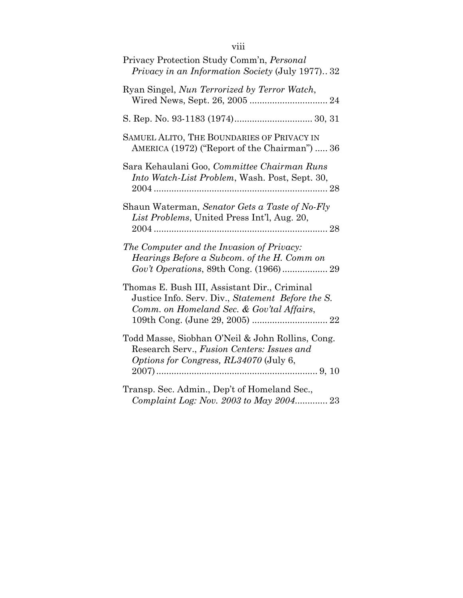| Privacy Protection Study Comm'n, Personal<br><i>Privacy in an Information Society (July 1977)32</i>                                            |
|------------------------------------------------------------------------------------------------------------------------------------------------|
| Ryan Singel, Nun Terrorized by Terror Watch,                                                                                                   |
|                                                                                                                                                |
| SAMUEL ALITO, THE BOUNDARIES OF PRIVACY IN<br>AMERICA (1972) ("Report of the Chairman")  36                                                    |
| Sara Kehaulani Goo, Committee Chairman Runs<br>Into Watch-List Problem, Wash. Post, Sept. 30,                                                  |
| Shaun Waterman, Senator Gets a Taste of No-Fly<br>List Problems, United Press Int'l, Aug. 20,                                                  |
| The Computer and the Invasion of Privacy:<br>Hearings Before a Subcom. of the H. Comm on                                                       |
| Thomas E. Bush III, Assistant Dir., Criminal<br>Justice Info. Serv. Div., Statement Before the S.<br>Comm. on Homeland Sec. & Gov'tal Affairs, |
| Todd Masse, Siobhan O'Neil & John Rollins, Cong.<br>Research Serv., Fusion Centers: Issues and<br>Options for Congress, RL34070 (July 6,       |
| Transp. Sec. Admin., Dep't of Homeland Sec.,<br>Complaint Log: Nov. 2003 to May 2004 23                                                        |

## viii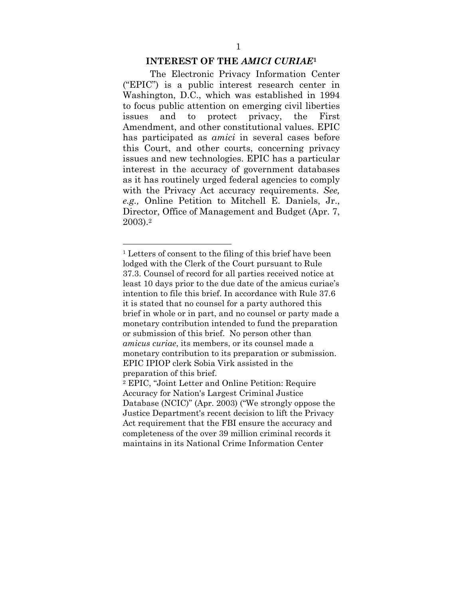#### **INTEREST OF THE** *AMICI CURIAE***<sup>1</sup>**

The Electronic Privacy Information Center ("EPIC") is a public interest research center in Washington, D.C., which was established in 1994 to focus public attention on emerging civil liberties issues and to protect privacy, the First Amendment, and other constitutional values. EPIC has participated as *amici* in several cases before this Court, and other courts, concerning privacy issues and new technologies. EPIC has a particular interest in the accuracy of government databases as it has routinely urged federal agencies to comply with the Privacy Act accuracy requirements. *See, e.g.,* Online Petition to Mitchell E. Daniels, Jr., Director, Office of Management and Budget (Apr. 7, 2003).2

<u>.</u>

<sup>&</sup>lt;sup>1</sup> Letters of consent to the filing of this brief have been lodged with the Clerk of the Court pursuant to Rule 37.3. Counsel of record for all parties received notice at least 10 days prior to the due date of the amicus curiae's intention to file this brief. In accordance with Rule 37.6 it is stated that no counsel for a party authored this brief in whole or in part, and no counsel or party made a monetary contribution intended to fund the preparation or submission of this brief. No person other than *amicus curiae*, its members, or its counsel made a monetary contribution to its preparation or submission. EPIC IPIOP clerk Sobia Virk assisted in the preparation of this brief.

<sup>2</sup> EPIC, "Joint Letter and Online Petition: Require Accuracy for Nation's Largest Criminal Justice Database (NCIC)" (Apr. 2003) ("We strongly oppose the Justice Department's recent decision to lift the Privacy Act requirement that the FBI ensure the accuracy and completeness of the over 39 million criminal records it maintains in its National Crime Information Center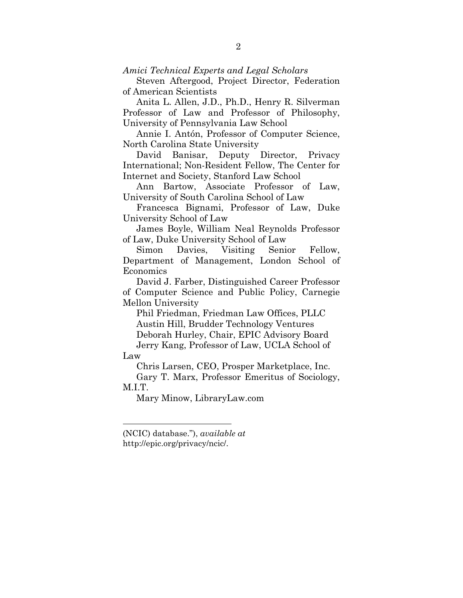*Amici Technical Experts and Legal Scholars*

Steven Aftergood, Project Director, Federation of American Scientists

Anita L. Allen, J.D., Ph.D., Henry R. Silverman Professor of Law and Professor of Philosophy, University of Pennsylvania Law School

Annie I. Antón, Professor of Computer Science, North Carolina State University

David Banisar, Deputy Director, Privacy International; Non-Resident Fellow, The Center for Internet and Society, Stanford Law School

Ann Bartow, Associate Professor of Law, University of South Carolina School of Law

Francesca Bignami, Professor of Law, Duke University School of Law

James Boyle, William Neal Reynolds Professor of Law, Duke University School of Law

Simon Davies, Visiting Senior Fellow, Department of Management, London School of Economics

David J. Farber, Distinguished Career Professor of Computer Science and Public Policy, Carnegie Mellon University

Phil Friedman, Friedman Law Offices, PLLC Austin Hill, Brudder Technology Ventures Deborah Hurley, Chair, EPIC Advisory Board Jerry Kang, Professor of Law, UCLA School of

Law

1

Chris Larsen, CEO, Prosper Marketplace, Inc.

Gary T. Marx, Professor Emeritus of Sociology, M.I.T.

Mary Minow, LibraryLaw.com

(NCIC) database."), *available at* http://epic.org/privacy/ncic/.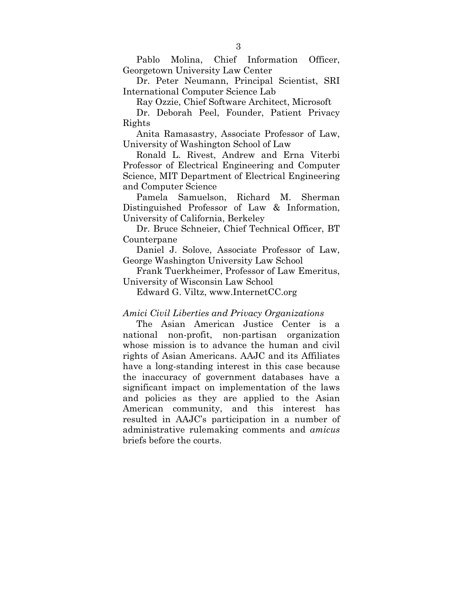Pablo Molina, Chief Information Officer, Georgetown University Law Center

Dr. Peter Neumann, Principal Scientist, SRI International Computer Science Lab

Ray Ozzie, Chief Software Architect, Microsoft

Dr. Deborah Peel, Founder, Patient Privacy Rights

Anita Ramasastry, Associate Professor of Law, University of Washington School of Law

Ronald L. Rivest, Andrew and Erna Viterbi Professor of Electrical Engineering and Computer Science, MIT Department of Electrical Engineering and Computer Science

Pamela Samuelson, Richard M. Sherman Distinguished Professor of Law & Information, University of California, Berkeley

Dr. Bruce Schneier, Chief Technical Officer, BT Counterpane

Daniel J. Solove, Associate Professor of Law, George Washington University Law School

Frank Tuerkheimer, Professor of Law Emeritus, University of Wisconsin Law School

Edward G. Viltz, www.InternetCC.org

#### *Amici Civil Liberties and Privacy Organizations*

The Asian American Justice Center is a national non-profit, non-partisan organization whose mission is to advance the human and civil rights of Asian Americans. AAJC and its Affiliates have a long-standing interest in this case because the inaccuracy of government databases have a significant impact on implementation of the laws and policies as they are applied to the Asian American community, and this interest has resulted in AAJC's participation in a number of administrative rulemaking comments and *amicus* briefs before the courts.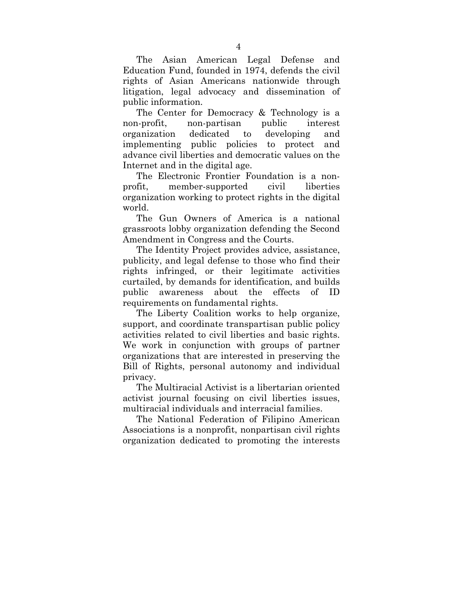The Asian American Legal Defense and Education Fund, founded in 1974, defends the civil rights of Asian Americans nationwide through litigation, legal advocacy and dissemination of public information.

The Center for Democracy & Technology is a non-profit, non-partisan public interest organization dedicated to developing and implementing public policies to protect and advance civil liberties and democratic values on the Internet and in the digital age.

The Electronic Frontier Foundation is a nonprofit, member-supported civil liberties organization working to protect rights in the digital world.

The Gun Owners of America is a national grassroots lobby organization defending the Second Amendment in Congress and the Courts.

The Identity Project provides advice, assistance, publicity, and legal defense to those who find their rights infringed, or their legitimate activities curtailed, by demands for identification, and builds public awareness about the effects of ID requirements on fundamental rights.

The Liberty Coalition works to help organize, support, and coordinate transpartisan public policy activities related to civil liberties and basic rights. We work in conjunction with groups of partner organizations that are interested in preserving the Bill of Rights, personal autonomy and individual privacy.

The Multiracial Activist is a libertarian oriented activist journal focusing on civil liberties issues, multiracial individuals and interracial families.

The National Federation of Filipino American Associations is a nonprofit, nonpartisan civil rights organization dedicated to promoting the interests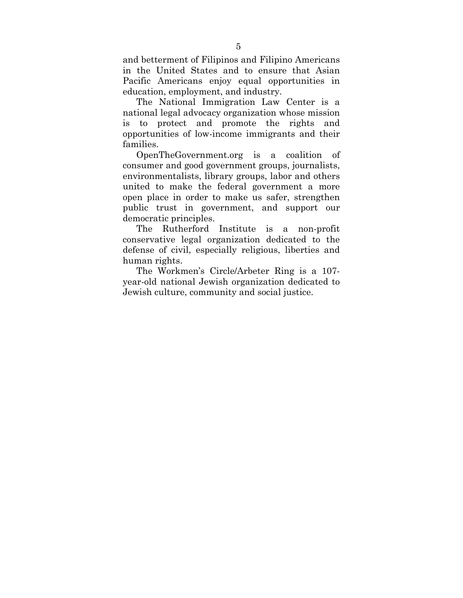and betterment of Filipinos and Filipino Americans in the United States and to ensure that Asian Pacific Americans enjoy equal opportunities in education, employment, and industry.

The National Immigration Law Center is a national legal advocacy organization whose mission is to protect and promote the rights and opportunities of low-income immigrants and their families.

OpenTheGovernment.org is a coalition of consumer and good government groups, journalists, environmentalists, library groups, labor and others united to make the federal government a more open place in order to make us safer, strengthen public trust in government, and support our democratic principles.

The Rutherford Institute is a non-profit conservative legal organization dedicated to the defense of civil, especially religious, liberties and human rights.

The Workmen's Circle/Arbeter Ring is a 107 year-old national Jewish organization dedicated to Jewish culture, community and social justice.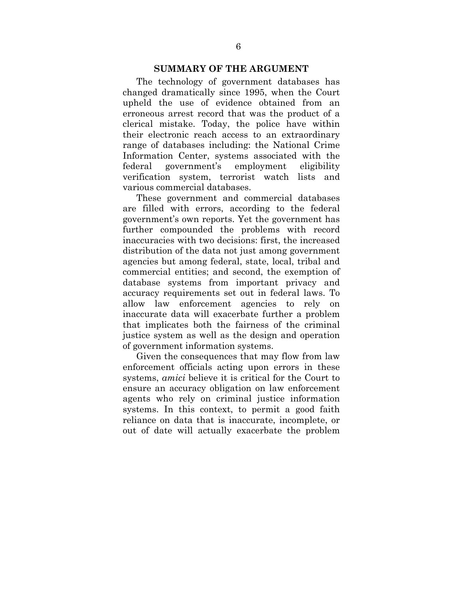#### **SUMMARY OF THE ARGUMENT**

The technology of government databases has changed dramatically since 1995, when the Court upheld the use of evidence obtained from an erroneous arrest record that was the product of a clerical mistake. Today, the police have within their electronic reach access to an extraordinary range of databases including: the National Crime Information Center, systems associated with the federal government's employment eligibility verification system, terrorist watch lists and various commercial databases.

These government and commercial databases are filled with errors, according to the federal government's own reports. Yet the government has further compounded the problems with record inaccuracies with two decisions: first, the increased distribution of the data not just among government agencies but among federal, state, local, tribal and commercial entities; and second, the exemption of database systems from important privacy and accuracy requirements set out in federal laws. To allow law enforcement agencies to rely on inaccurate data will exacerbate further a problem that implicates both the fairness of the criminal justice system as well as the design and operation of government information systems.

Given the consequences that may flow from law enforcement officials acting upon errors in these systems, *amici* believe it is critical for the Court to ensure an accuracy obligation on law enforcement agents who rely on criminal justice information systems. In this context, to permit a good faith reliance on data that is inaccurate, incomplete, or out of date will actually exacerbate the problem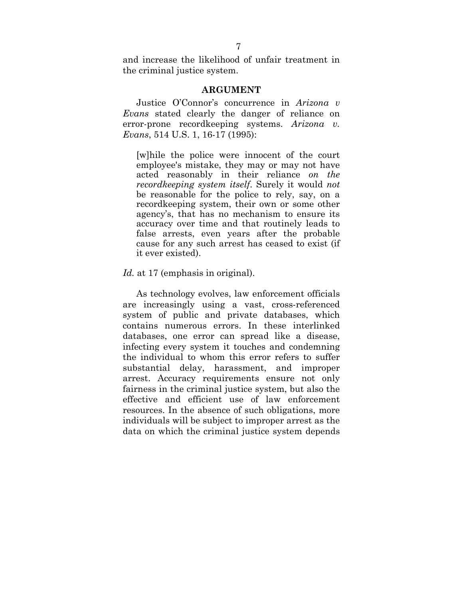and increase the likelihood of unfair treatment in the criminal justice system.

#### **ARGUMENT**

Justice O'Connor's concurrence in *Arizona v Evans* stated clearly the danger of reliance on error-prone recordkeeping systems. *Arizona v. Evans*, 514 U.S. 1, 16-17 (1995):

[w]hile the police were innocent of the court employee's mistake, they may or may not have acted reasonably in their reliance *on the recordkeeping system itself*. Surely it would *not* be reasonable for the police to rely, say, on a recordkeeping system, their own or some other agency's, that has no mechanism to ensure its accuracy over time and that routinely leads to false arrests, even years after the probable cause for any such arrest has ceased to exist (if it ever existed).

#### *Id.* at 17 (emphasis in original).

As technology evolves, law enforcement officials are increasingly using a vast, cross-referenced system of public and private databases, which contains numerous errors. In these interlinked databases, one error can spread like a disease, infecting every system it touches and condemning the individual to whom this error refers to suffer substantial delay, harassment, and improper arrest. Accuracy requirements ensure not only fairness in the criminal justice system, but also the effective and efficient use of law enforcement resources. In the absence of such obligations, more individuals will be subject to improper arrest as the data on which the criminal justice system depends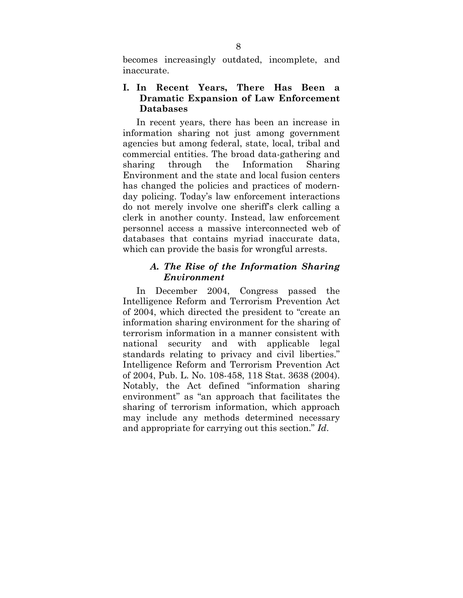becomes increasingly outdated, incomplete, and inaccurate.

### **I. In Recent Years, There Has Been a Dramatic Expansion of Law Enforcement Databases**

In recent years, there has been an increase in information sharing not just among government agencies but among federal, state, local, tribal and commercial entities. The broad data-gathering and sharing through the Information Sharing Environment and the state and local fusion centers has changed the policies and practices of modernday policing. Today's law enforcement interactions do not merely involve one sheriff's clerk calling a clerk in another county. Instead, law enforcement personnel access a massive interconnected web of databases that contains myriad inaccurate data, which can provide the basis for wrongful arrests.

### *A. The Rise of the Information Sharing Environment*

In December 2004, Congress passed the Intelligence Reform and Terrorism Prevention Act of 2004, which directed the president to "create an information sharing environment for the sharing of terrorism information in a manner consistent with national security and with applicable legal standards relating to privacy and civil liberties." Intelligence Reform and Terrorism Prevention Act of 2004, Pub. L. No. 108-458, 118 Stat. 3638 (2004). Notably, the Act defined "information sharing environment" as "an approach that facilitates the sharing of terrorism information, which approach may include any methods determined necessary and appropriate for carrying out this section." *Id*.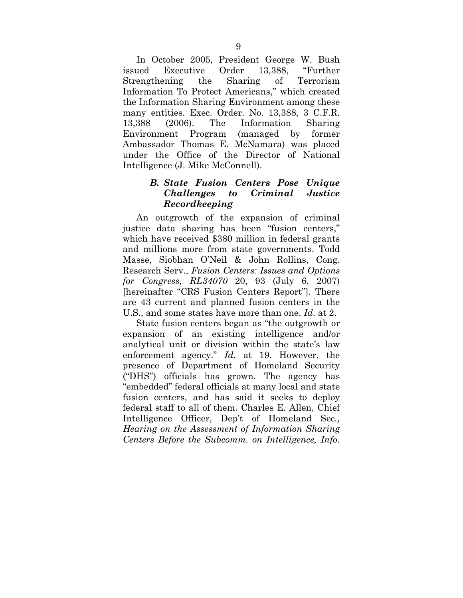In October 2005, President George W. Bush issued Executive Order 13,388, "Further Strengthening the Sharing of Terrorism Information To Protect Americans," which created the Information Sharing Environment among these many entities. Exec. Order. No. 13,388, 3 C.F.R. 13,388 (2006). The Information Sharing Environment Program (managed by former Ambassador Thomas E. McNamara) was placed under the Office of the Director of National Intelligence (J. Mike McConnell).

### *B. State Fusion Centers Pose Unique Challenges to Criminal Justice Recordkeeping*

An outgrowth of the expansion of criminal justice data sharing has been "fusion centers," which have received \$380 million in federal grants and millions more from state governments. Todd Masse, Siobhan O'Neil & John Rollins, Cong. Research Serv., *Fusion Centers: Issues and Options for Congress, RL34070* 20, 93 (July 6, 2007) [hereinafter "CRS Fusion Centers Report"]. There are 43 current and planned fusion centers in the U.S., and some states have more than one. *Id*. at 2.

State fusion centers began as "the outgrowth or expansion of an existing intelligence and/or analytical unit or division within the state's law enforcement agency." *Id*. at 19. However, the presence of Department of Homeland Security ("DHS") officials has grown. The agency has "embedded" federal officials at many local and state fusion centers, and has said it seeks to deploy federal staff to all of them. Charles E. Allen, Chief Intelligence Officer, Dep't of Homeland Sec*., Hearing on the Assessment of Information Sharing Centers Before the Subcomm. on Intelligence, Info.*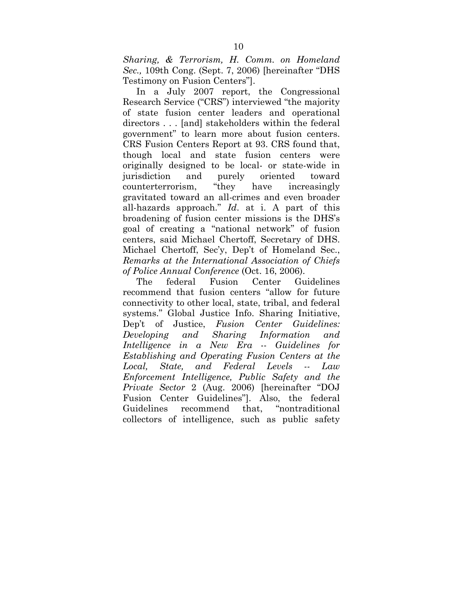*Sharing, & Terrorism, H. Comm. on Homeland Sec.,* 109th Cong. (Sept. 7, 2006) [hereinafter "DHS Testimony on Fusion Centers"].

In a July 2007 report, the Congressional Research Service ("CRS") interviewed "the majority of state fusion center leaders and operational directors . . . [and] stakeholders within the federal government" to learn more about fusion centers. CRS Fusion Centers Report at 93. CRS found that, though local and state fusion centers were originally designed to be local- or state-wide in jurisdiction and purely oriented toward counterterrorism, "they have increasingly gravitated toward an all-crimes and even broader all-hazards approach." *Id*. at i. A part of this broadening of fusion center missions is the DHS's goal of creating a "national network" of fusion centers, said Michael Chertoff, Secretary of DHS. Michael Chertoff, Sec'y, Dep't of Homeland Sec., *Remarks at the International Association of Chiefs of Police Annual Conference* (Oct. 16, 2006).

The federal Fusion Center Guidelines recommend that fusion centers "allow for future connectivity to other local, state, tribal, and federal systems." Global Justice Info. Sharing Initiative, Dep't of Justice, *Fusion Center Guidelines: Developing and Sharing Information and Intelligence in a New Era* -- *Guidelines for Establishing and Operating Fusion Centers at the Local, State, and Federal Levels -- Law Enforcement Intelligence, Public Safety and the Private Sector* 2 (Aug. 2006) [hereinafter "DOJ Fusion Center Guidelines"]. Also, the federal Guidelines recommend that, "nontraditional collectors of intelligence, such as public safety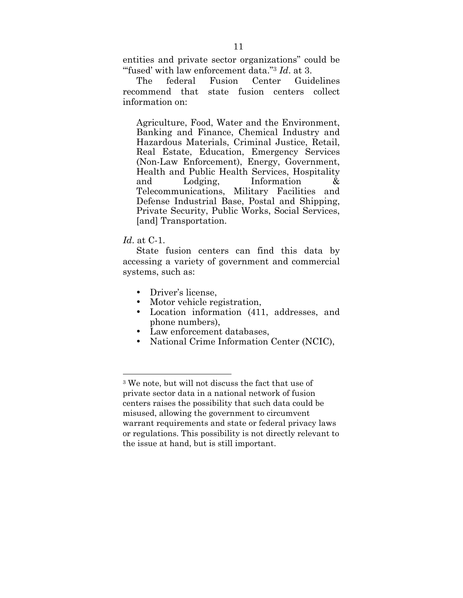entities and private sector organizations" could be "'fused' with law enforcement data."3 *Id*. at 3.

The federal Fusion Center Guidelines recommend that state fusion centers collect information on:

Agriculture, Food, Water and the Environment, Banking and Finance, Chemical Industry and Hazardous Materials, Criminal Justice, Retail, Real Estate, Education, Emergency Services (Non-Law Enforcement), Energy, Government, Health and Public Health Services, Hospitality and Lodging, Information & Telecommunications, Military Facilities and Defense Industrial Base, Postal and Shipping, Private Security, Public Works, Social Services, [and] Transportation.

#### *Id*. at C-1.

1

State fusion centers can find this data by accessing a variety of government and commercial systems, such as:

- Driver's license.
- Motor vehicle registration,
- Location information (411, addresses, and phone numbers),
- Law enforcement databases,
- National Crime Information Center (NCIC),

<sup>3</sup> We note, but will not discuss the fact that use of private sector data in a national network of fusion centers raises the possibility that such data could be misused, allowing the government to circumvent warrant requirements and state or federal privacy laws or regulations. This possibility is not directly relevant to the issue at hand, but is still important.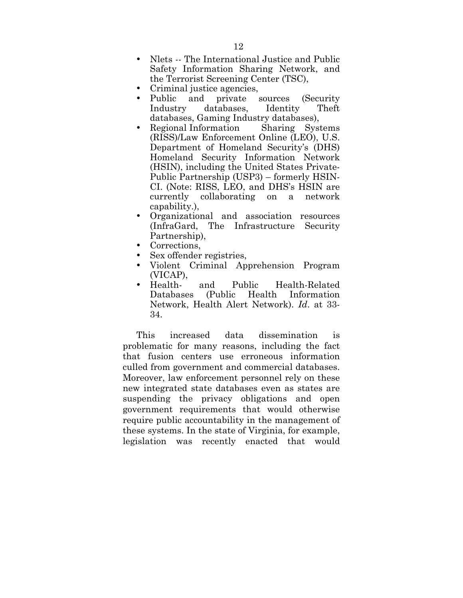- Nlets -- The International Justice and Public Safety Information Sharing Network, and the Terrorist Screening Center (TSC),
- Criminal justice agencies,
- Public and private sources (Security<br>Industry databases, Identity Theft databases, databases, Gaming Industry databases),
- Regional Information Sharing Systems (RISS)/Law Enforcement Online (LEO), U.S. Department of Homeland Security's (DHS) Homeland Security Information Network (HSIN), including the United States Private-Public Partnership (USP3) – formerly HSIN-CI. (Note: RISS, LEO, and DHS's HSIN are currently collaborating on a network capability.),
- Organizational and association resources (InfraGard, The Infrastructure Security Partnership),
- Corrections,
- Sex offender registries,
- Violent Criminal Apprehension Program (VICAP),
- Health- and Public Health-Related Information Network, Health Alert Network). *Id*. at 33- 34.

This increased data dissemination is problematic for many reasons, including the fact that fusion centers use erroneous information culled from government and commercial databases. Moreover, law enforcement personnel rely on these new integrated state databases even as states are suspending the privacy obligations and open government requirements that would otherwise require public accountability in the management of these systems. In the state of Virginia, for example, legislation was recently enacted that would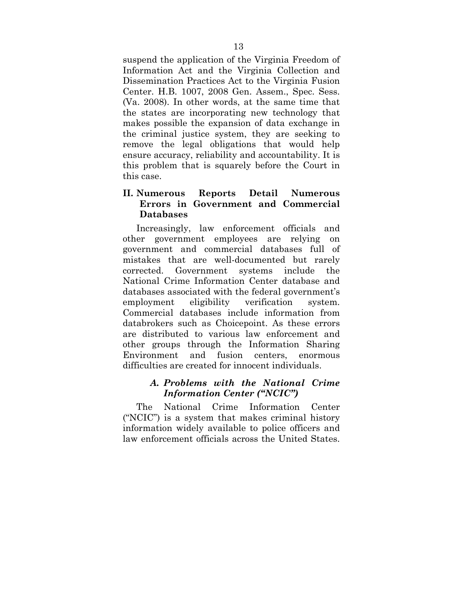suspend the application of the Virginia Freedom of Information Act and the Virginia Collection and Dissemination Practices Act to the Virginia Fusion Center. H.B. 1007, 2008 Gen. Assem., Spec. Sess. (Va. 2008). In other words, at the same time that the states are incorporating new technology that makes possible the expansion of data exchange in the criminal justice system, they are seeking to remove the legal obligations that would help ensure accuracy, reliability and accountability. It is this problem that is squarely before the Court in this case.

### **II. Numerous Reports Detail Numerous Errors in Government and Commercial Databases**

Increasingly, law enforcement officials and other government employees are relying on government and commercial databases full of mistakes that are well-documented but rarely corrected. Government systems include the National Crime Information Center database and databases associated with the federal government's employment eligibility verification system. Commercial databases include information from databrokers such as Choicepoint. As these errors are distributed to various law enforcement and other groups through the Information Sharing Environment and fusion centers, enormous difficulties are created for innocent individuals.

### *A. Problems with the National Crime Information Center ("NCIC")*

The National Crime Information Center ("NCIC") is a system that makes criminal history information widely available to police officers and law enforcement officials across the United States.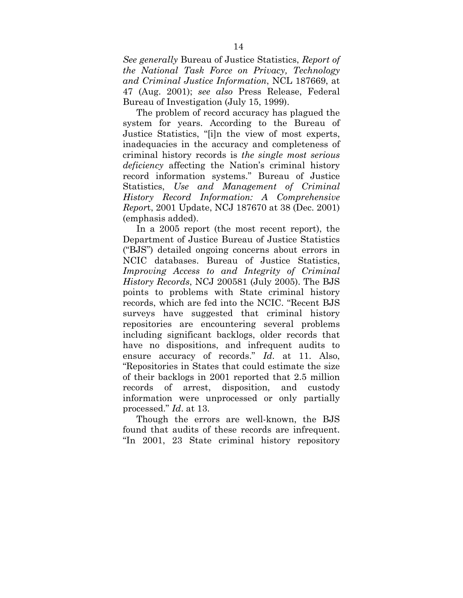*See generally* Bureau of Justice Statistics, *Report of the National Task Force on Privacy, Technology and Criminal Justice Information*, NCL 187669, at 47 (Aug. 2001); *see also* Press Release, Federal Bureau of Investigation (July 15, 1999).

The problem of record accuracy has plagued the system for years. According to the Bureau of Justice Statistics, "[i]n the view of most experts, inadequacies in the accuracy and completeness of criminal history records is *the single most serious deficiency* affecting the Nation's criminal history record information systems." Bureau of Justice Statistics, *Use and Management of Criminal History Record Information: A Comprehensive Repor*t, 2001 Update, NCJ 187670 at 38 (Dec. 2001) (emphasis added).

In a 2005 report (the most recent report), the Department of Justice Bureau of Justice Statistics ("BJS") detailed ongoing concerns about errors in NCIC databases. Bureau of Justice Statistics, *Improving Access to and Integrity of Criminal History Records*, NCJ 200581 (July 2005). The BJS points to problems with State criminal history records, which are fed into the NCIC. "Recent BJS surveys have suggested that criminal history repositories are encountering several problems including significant backlogs, older records that have no dispositions, and infrequent audits to ensure accuracy of records." *Id*. at 11. Also, "Repositories in States that could estimate the size of their backlogs in 2001 reported that 2.5 million records of arrest, disposition, and custody information were unprocessed or only partially processed." *Id*. at 13.

Though the errors are well-known, the BJS found that audits of these records are infrequent. "In 2001, 23 State criminal history repository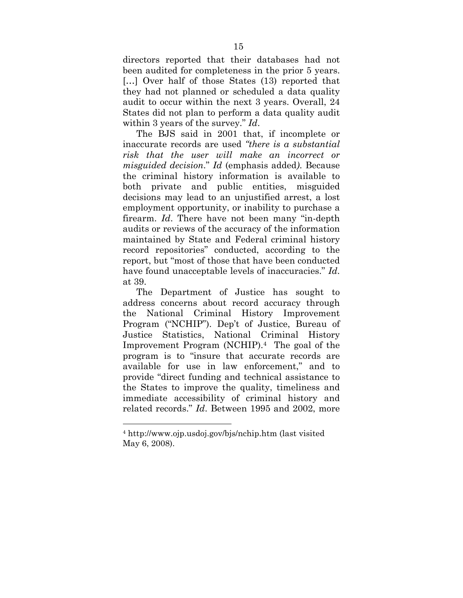directors reported that their databases had not been audited for completeness in the prior 5 years. [...] Over half of those States (13) reported that they had not planned or scheduled a data quality audit to occur within the next 3 years. Overall, 24 States did not plan to perform a data quality audit within 3 years of the survey." *Id*.

The BJS said in 2001 that, if incomplete or inaccurate records are used *"there is a substantial risk that the user will make an incorrect or misguided decision*." *Id* (emphasis added*)*. Because the criminal history information is available to both private and public entities, misguided decisions may lead to an unjustified arrest, a lost employment opportunity, or inability to purchase a firearm. *Id*. There have not been many "in-depth audits or reviews of the accuracy of the information maintained by State and Federal criminal history record repositories" conducted, according to the report, but "most of those that have been conducted have found unacceptable levels of inaccuracies." *Id*. at 39.

The Department of Justice has sought to address concerns about record accuracy through the National Criminal History Improvement Program ("NCHIP"). Dep't of Justice, Bureau of Justice Statistics, National Criminal History Improvement Program (NCHIP).4 The goal of the program is to "insure that accurate records are available for use in law enforcement," and to provide "direct funding and technical assistance to the States to improve the quality, timeliness and immediate accessibility of criminal history and related records." *Id*. Between 1995 and 2002, more

1

<sup>4</sup> http://www.ojp.usdoj.gov/bjs/nchip.htm (last visited May 6, 2008).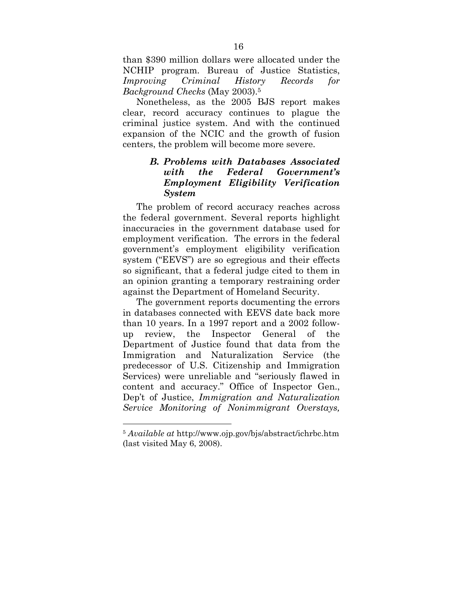than \$390 million dollars were allocated under the NCHIP program. Bureau of Justice Statistics, *Improving Criminal History Records for Background Checks* (May 2003).5

Nonetheless, as the 2005 BJS report makes clear, record accuracy continues to plague the criminal justice system. And with the continued expansion of the NCIC and the growth of fusion centers, the problem will become more severe.

### *B. Problems with Databases Associated with the Federal Government's Employment Eligibility Verification System*

The problem of record accuracy reaches across the federal government. Several reports highlight inaccuracies in the government database used for employment verification. The errors in the federal government's employment eligibility verification system ("EEVS") are so egregious and their effects so significant, that a federal judge cited to them in an opinion granting a temporary restraining order against the Department of Homeland Security.

The government reports documenting the errors in databases connected with EEVS date back more than 10 years. In a 1997 report and a 2002 followup review, the Inspector General of the Department of Justice found that data from the Immigration and Naturalization Service (the predecessor of U.S. Citizenship and Immigration Services) were unreliable and "seriously flawed in content and accuracy." Office of Inspector Gen., Dep't of Justice, *Immigration and Naturalization Service Monitoring of Nonimmigrant Overstays,* 

1

<sup>5</sup> *Available at* http://www.ojp.gov/bjs/abstract/ichrbc.htm (last visited May 6, 2008).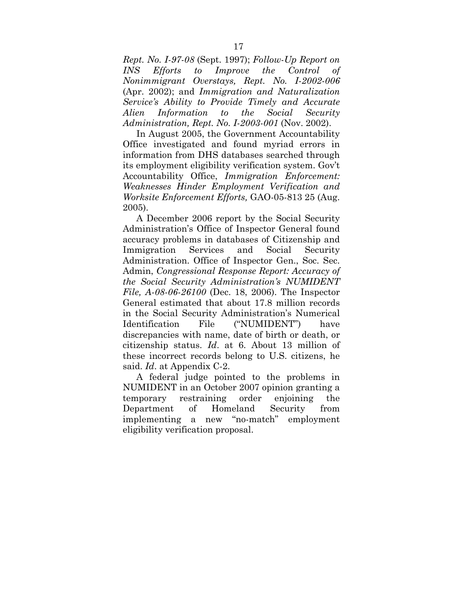*Rept. No. I-97-08* (Sept. 1997); *Follow-Up Report on INS Efforts to Improve the Control of Nonimmigrant Overstays, Rept. No. I-2002-006* (Apr. 2002); and *Immigration and Naturalization Service's Ability to Provide Timely and Accurate Alien Information to the Social Security Administration, Rept. No. I-2003-001* (Nov. 2002).

In August 2005, the Government Accountability Office investigated and found myriad errors in information from DHS databases searched through its employment eligibility verification system. Gov't Accountability Office, *Immigration Enforcement: Weaknesses Hinder Employment Verification and Worksite Enforcement Efforts,* GAO-05-813 25 (Aug. 2005).

A December 2006 report by the Social Security Administration's Office of Inspector General found accuracy problems in databases of Citizenship and Immigration Services and Social Security Administration. Office of Inspector Gen., Soc. Sec. Admin, *Congressional Response Report: Accuracy of the Social Security Administration's NUMIDENT File, A-08-06-26100* (Dec. 18, 2006). The Inspector General estimated that about 17.8 million records in the Social Security Administration's Numerical Identification File ("NUMIDENT") have discrepancies with name, date of birth or death, or citizenship status. *Id*. at 6. About 13 million of these incorrect records belong to U.S. citizens, he said. *Id*. at Appendix C-2.

A federal judge pointed to the problems in NUMIDENT in an October 2007 opinion granting a temporary restraining order enjoining the Department of Homeland Security from implementing a new "no-match" employment eligibility verification proposal.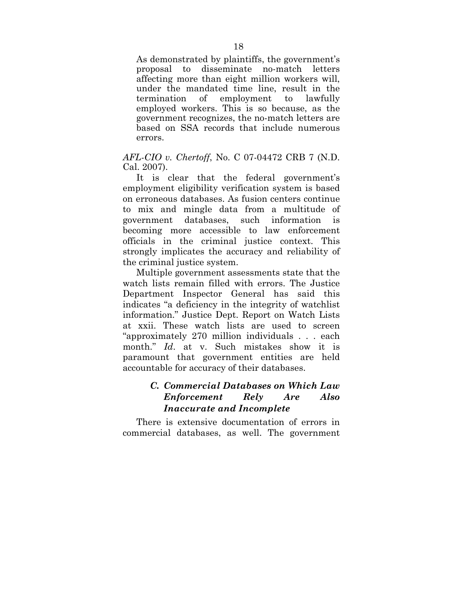As demonstrated by plaintiffs, the government's proposal to disseminate no-match letters affecting more than eight million workers will, under the mandated time line, result in the termination of employment to lawfully employed workers. This is so because, as the government recognizes, the no-match letters are based on SSA records that include numerous errors.

#### *AFL-CIO v. Chertoff*, No. C 07-04472 CRB 7 (N.D. Cal. 2007).

It is clear that the federal government's employment eligibility verification system is based on erroneous databases. As fusion centers continue to mix and mingle data from a multitude of government databases, such information is becoming more accessible to law enforcement officials in the criminal justice context. This strongly implicates the accuracy and reliability of the criminal justice system.

Multiple government assessments state that the watch lists remain filled with errors. The Justice Department Inspector General has said this indicates "a deficiency in the integrity of watchlist information." Justice Dept. Report on Watch Lists at xxii. These watch lists are used to screen "approximately 270 million individuals . . . each month." *Id*. at v. Such mistakes show it is paramount that government entities are held accountable for accuracy of their databases.

### *C. Commercial Databases on Which Law Enforcement Rely Are Also Inaccurate and Incomplete*

There is extensive documentation of errors in commercial databases, as well. The government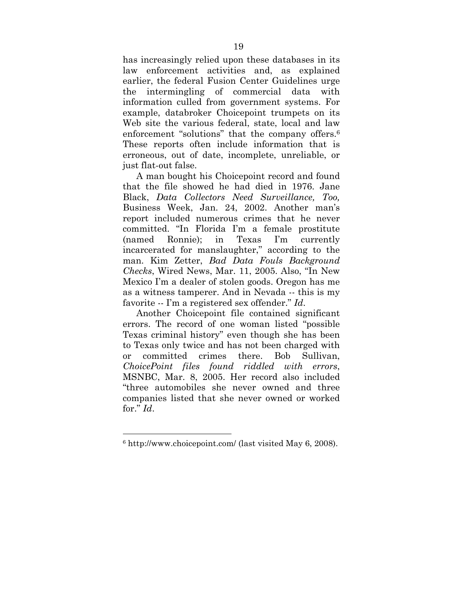has increasingly relied upon these databases in its law enforcement activities and, as explained earlier, the federal Fusion Center Guidelines urge the intermingling of commercial data with information culled from government systems. For example, databroker Choicepoint trumpets on its Web site the various federal, state, local and law enforcement "solutions" that the company offers.<sup>6</sup> These reports often include information that is erroneous, out of date, incomplete, unreliable, or just flat-out false.

A man bought his Choicepoint record and found that the file showed he had died in 1976. Jane Black, *Data Collectors Need Surveillance, Too,*  Business Week, Jan. 24, 2002. Another man's report included numerous crimes that he never committed. "In Florida I'm a female prostitute (named Ronnie); in Texas I'm currently incarcerated for manslaughter," according to the man. Kim Zetter, *Bad Data Fouls Background Checks*, Wired News, Mar. 11, 2005. Also, "In New Mexico I'm a dealer of stolen goods. Oregon has me as a witness tamperer. And in Nevada -- this is my favorite -- I'm a registered sex offender." *Id*.

Another Choicepoint file contained significant errors. The record of one woman listed "possible Texas criminal history" even though she has been to Texas only twice and has not been charged with or committed crimes there. Bob Sullivan, *ChoicePoint files found riddled with errors*, MSNBC, Mar. 8, 2005. Her record also included "three automobiles she never owned and three companies listed that she never owned or worked for." *Id*.

<u>.</u>

<sup>6</sup> http://www.choicepoint.com/ (last visited May 6, 2008).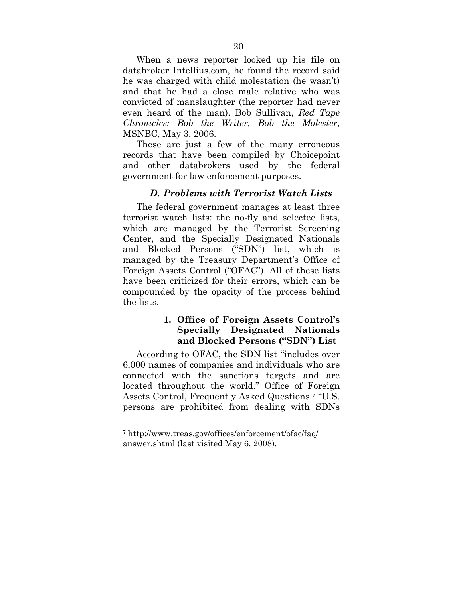When a news reporter looked up his file on databroker Intellius.com, he found the record said he was charged with child molestation (he wasn't) and that he had a close male relative who was convicted of manslaughter (the reporter had never even heard of the man). Bob Sullivan, *Red Tape Chronicles: Bob the Writer, Bob the Molester*, MSNBC, May 3, 2006.

These are just a few of the many erroneous records that have been compiled by Choicepoint and other databrokers used by the federal government for law enforcement purposes.

### *D. Problems with Terrorist Watch Lists*

The federal government manages at least three terrorist watch lists: the no-fly and selectee lists, which are managed by the Terrorist Screening Center, and the Specially Designated Nationals and Blocked Persons ("SDN") list, which is managed by the Treasury Department's Office of Foreign Assets Control ("OFAC"). All of these lists have been criticized for their errors, which can be compounded by the opacity of the process behind the lists.

### **1. Office of Foreign Assets Control's Specially Designated Nationals and Blocked Persons ("SDN") List**

According to OFAC, the SDN list "includes over 6,000 names of companies and individuals who are connected with the sanctions targets and are located throughout the world." Office of Foreign Assets Control, Frequently Asked Questions.7 "U.S. persons are prohibited from dealing with SDNs

1

<sup>7</sup> http://www.treas.gov/offices/enforcement/ofac/faq/ answer.shtml (last visited May 6, 2008).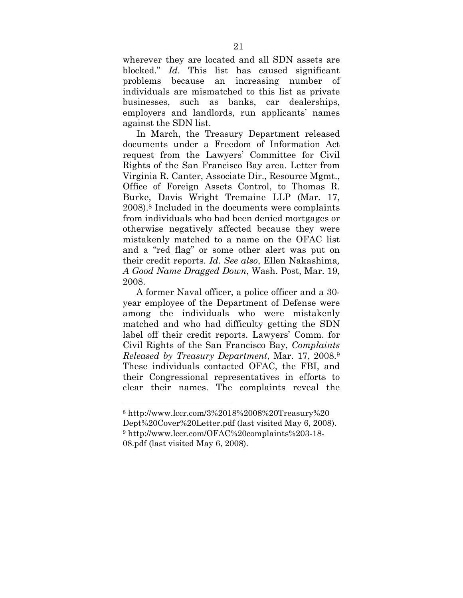wherever they are located and all SDN assets are blocked." *Id*. This list has caused significant problems because an increasing number of individuals are mismatched to this list as private businesses, such as banks, car dealerships, employers and landlords, run applicants' names against the SDN list.

In March, the Treasury Department released documents under a Freedom of Information Act request from the Lawyers' Committee for Civil Rights of the San Francisco Bay area. Letter from Virginia R. Canter, Associate Dir., Resource Mgmt., Office of Foreign Assets Control, to Thomas R. Burke, Davis Wright Tremaine LLP (Mar. 17, 2008).8 Included in the documents were complaints from individuals who had been denied mortgages or otherwise negatively affected because they were mistakenly matched to a name on the OFAC list and a "red flag" or some other alert was put on their credit reports. *Id*. *See also*, Ellen Nakashima*, A Good Name Dragged Down*, Wash. Post, Mar. 19, 2008.

A former Naval officer, a police officer and a 30 year employee of the Department of Defense were among the individuals who were mistakenly matched and who had difficulty getting the SDN label off their credit reports. Lawyers' Comm. for Civil Rights of the San Francisco Bay, *Complaints Released by Treasury Department*, Mar. 17, 2008.9 These individuals contacted OFAC, the FBI, and their Congressional representatives in efforts to clear their names. The complaints reveal the

1

<sup>8</sup> http://www.lccr.com/3%2018%2008%20Treasury%20 Dept%20Cover%20Letter.pdf (last visited May 6, 2008). 9 http://www.lccr.com/OFAC%20complaints%203-18- 08.pdf (last visited May 6, 2008).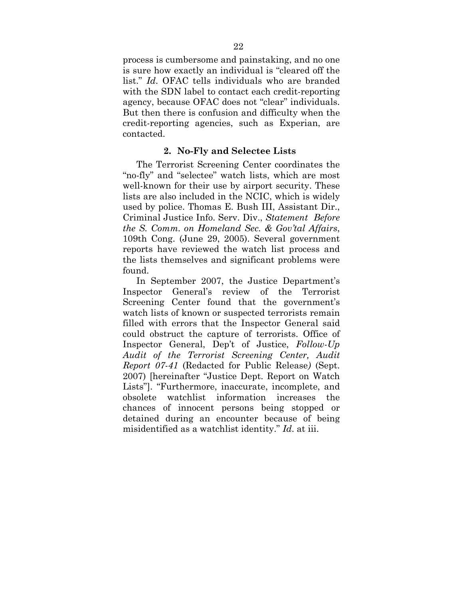process is cumbersome and painstaking, and no one is sure how exactly an individual is "cleared off the list." *Id*. OFAC tells individuals who are branded with the SDN label to contact each credit-reporting agency, because OFAC does not "clear" individuals. But then there is confusion and difficulty when the credit-reporting agencies, such as Experian, are contacted.

#### **2. No-Fly and Selectee Lists**

The Terrorist Screening Center coordinates the "no-fly" and "selectee" watch lists, which are most well-known for their use by airport security. These lists are also included in the NCIC, which is widely used by police. Thomas E. Bush III, Assistant Dir., Criminal Justice Info. Serv. Div., *Statement Before the S. Comm. on Homeland Sec. & Gov'tal Affairs*, 109th Cong. (June 29, 2005). Several government reports have reviewed the watch list process and the lists themselves and significant problems were found.

In September 2007, the Justice Department's Inspector General's review of the Terrorist Screening Center found that the government's watch lists of known or suspected terrorists remain filled with errors that the Inspector General said could obstruct the capture of terrorists. Office of Inspector General, Dep't of Justice, *Follow-Up Audit of the Terrorist Screening Center, Audit Report 07-41* (Redacted for Public Release*)* (Sept. 2007) [hereinafter "Justice Dept. Report on Watch Lists"]. "Furthermore, inaccurate, incomplete, and obsolete watchlist information increases the chances of innocent persons being stopped or detained during an encounter because of being misidentified as a watchlist identity." *Id*. at iii.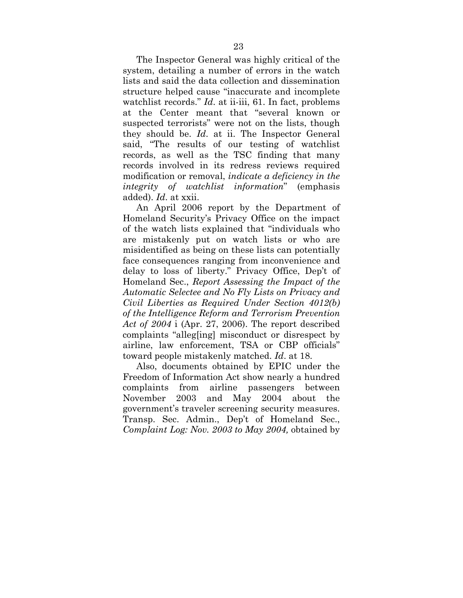The Inspector General was highly critical of the system, detailing a number of errors in the watch lists and said the data collection and dissemination structure helped cause "inaccurate and incomplete watchlist records." *Id*. at ii-iii, 61. In fact, problems at the Center meant that "several known or suspected terrorists" were not on the lists, though they should be. *Id*. at ii. The Inspector General said, "The results of our testing of watchlist records, as well as the TSC finding that many records involved in its redress reviews required modification or removal, *indicate a deficiency in the integrity of watchlist information*" (emphasis added). *Id*. at xxii.

An April 2006 report by the Department of Homeland Security's Privacy Office on the impact of the watch lists explained that "individuals who are mistakenly put on watch lists or who are misidentified as being on these lists can potentially face consequences ranging from inconvenience and delay to loss of liberty." Privacy Office, Dep't of Homeland Sec., *Report Assessing the Impact of the Automatic Selectee and No Fly Lists on Privacy and Civil Liberties as Required Under Section 4012(b) of the Intelligence Reform and Terrorism Prevention Act of 2004* i (Apr. 27, 2006). The report described complaints "alleg[ing] misconduct or disrespect by airline, law enforcement, TSA or CBP officials" toward people mistakenly matched. *Id*. at 18.

Also, documents obtained by EPIC under the Freedom of Information Act show nearly a hundred complaints from airline passengers between November 2003 and May 2004 about the government's traveler screening security measures. Transp. Sec. Admin., Dep't of Homeland Sec., *Complaint Log: Nov. 2003 to May 2004,* obtained by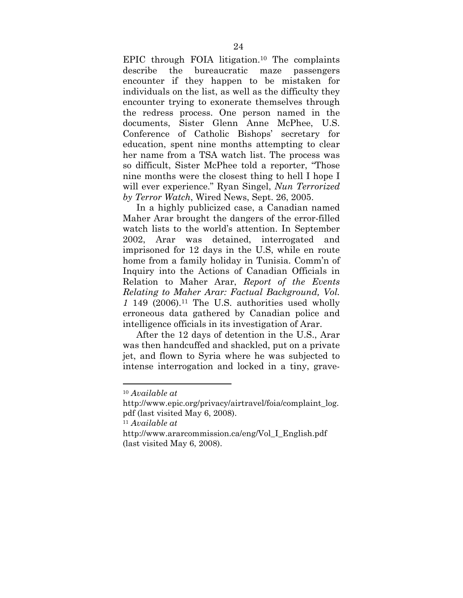EPIC through FOIA litigation.10 The complaints describe the bureaucratic maze passengers encounter if they happen to be mistaken for individuals on the list, as well as the difficulty they encounter trying to exonerate themselves through the redress process. One person named in the documents, Sister Glenn Anne McPhee, U.S. Conference of Catholic Bishops' secretary for education, spent nine months attempting to clear her name from a TSA watch list. The process was so difficult, Sister McPhee told a reporter, "Those nine months were the closest thing to hell I hope I will ever experience." Ryan Singel, *Nun Terrorized by Terror Watch*, Wired News, Sept. 26, 2005.

In a highly publicized case, a Canadian named Maher Arar brought the dangers of the error-filled watch lists to the world's attention. In September 2002, Arar was detained, interrogated and imprisoned for 12 days in the U.S, while en route home from a family holiday in Tunisia. Comm'n of Inquiry into the Actions of Canadian Officials in Relation to Maher Arar, *Report of the Events Relating to Maher Arar: Factual Background, Vol. 1* 149 (2006).11 The U.S. authorities used wholly erroneous data gathered by Canadian police and intelligence officials in its investigation of Arar.

After the 12 days of detention in the U.S., Arar was then handcuffed and shackled, put on a private jet, and flown to Syria where he was subjected to intense interrogation and locked in a tiny, grave-

1

<sup>10</sup> *Available at*

http://www.epic.org/privacy/airtravel/foia/complaint\_log. pdf (last visited May 6, 2008).

<sup>11</sup> *Available at*

http://www.ararcommission.ca/eng/Vol\_I\_English.pdf (last visited May 6, 2008).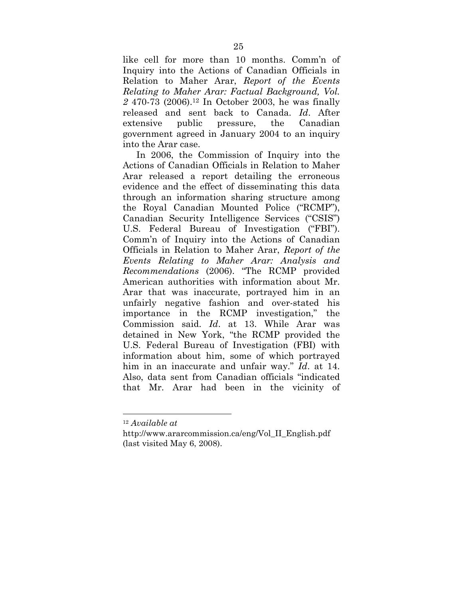like cell for more than 10 months. Comm'n of Inquiry into the Actions of Canadian Officials in Relation to Maher Arar, *Report of the Events Relating to Maher Arar: Factual Background, Vol. 2* 470-73 (2006).12 In October 2003, he was finally released and sent back to Canada. *Id*. After extensive public pressure, the Canadian government agreed in January 2004 to an inquiry into the Arar case.

In 2006, the Commission of Inquiry into the Actions of Canadian Officials in Relation to Maher Arar released a report detailing the erroneous evidence and the effect of disseminating this data through an information sharing structure among the Royal Canadian Mounted Police ("RCMP"), Canadian Security Intelligence Services ("CSIS") U.S. Federal Bureau of Investigation ("FBI"). Comm'n of Inquiry into the Actions of Canadian Officials in Relation to Maher Arar, *Report of the Events Relating to Maher Arar: Analysis and Recommendations* (2006). "The RCMP provided American authorities with information about Mr. Arar that was inaccurate, portrayed him in an unfairly negative fashion and over-stated his importance in the RCMP investigation," the Commission said. *Id*. at 13. While Arar was detained in New York, "the RCMP provided the U.S. Federal Bureau of Investigation (FBI) with information about him, some of which portrayed him in an inaccurate and unfair way." *Id*. at 14. Also, data sent from Canadian officials "indicated that Mr. Arar had been in the vicinity of

1

<sup>12</sup> *Available at*

http://www.ararcommission.ca/eng/Vol\_II\_English.pdf (last visited May 6, 2008).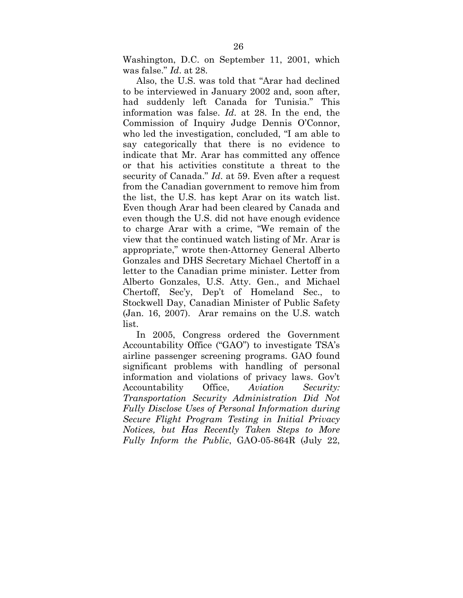Washington, D.C. on September 11, 2001, which was false." *Id*. at 28.

Also, the U.S. was told that "Arar had declined to be interviewed in January 2002 and, soon after, had suddenly left Canada for Tunisia." This information was false. *Id*. at 28. In the end, the Commission of Inquiry Judge Dennis O'Connor, who led the investigation, concluded, "I am able to say categorically that there is no evidence to indicate that Mr. Arar has committed any offence or that his activities constitute a threat to the security of Canada." *Id*. at 59. Even after a request from the Canadian government to remove him from the list, the U.S. has kept Arar on its watch list. Even though Arar had been cleared by Canada and even though the U.S. did not have enough evidence to charge Arar with a crime, "We remain of the view that the continued watch listing of Mr. Arar is appropriate," wrote then-Attorney General Alberto Gonzales and DHS Secretary Michael Chertoff in a letter to the Canadian prime minister. Letter from Alberto Gonzales, U.S. Atty. Gen., and Michael Chertoff, Sec'y, Dep't of Homeland Sec., to Stockwell Day, Canadian Minister of Public Safety (Jan. 16, 2007). Arar remains on the U.S. watch list.

In 2005, Congress ordered the Government Accountability Office ("GAO") to investigate TSA's airline passenger screening programs. GAO found significant problems with handling of personal information and violations of privacy laws. Gov't Accountability Office, *Aviation Security: Transportation Security Administration Did Not Fully Disclose Uses of Personal Information during Secure Flight Program Testing in Initial Privacy Notices, but Has Recently Taken Steps to More Fully Inform the Public*, GAO-05-864R (July 22,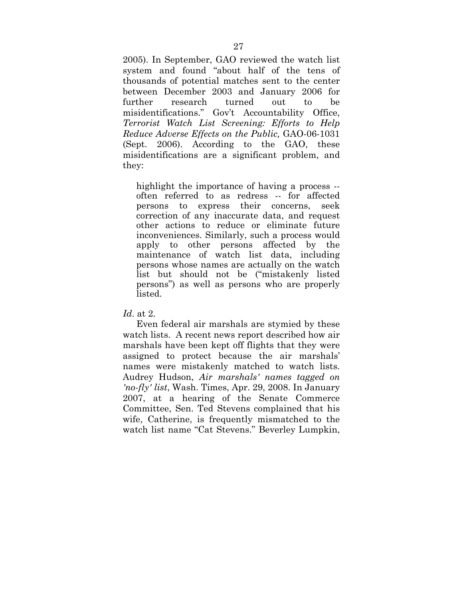2005). In September, GAO reviewed the watch list system and found "about half of the tens of thousands of potential matches sent to the center between December 2003 and January 2006 for further research turned out to be misidentifications." Gov't Accountability Office, *Terrorist Watch List Screening: Efforts to Help Reduce Adverse Effects on the Public,* GAO-06-1031 (Sept. 2006). According to the GAO, these misidentifications are a significant problem, and they:

highlight the importance of having a process -often referred to as redress -- for affected persons to express their concerns, seek correction of any inaccurate data, and request other actions to reduce or eliminate future inconveniences. Similarly, such a process would apply to other persons affected by the maintenance of watch list data, including persons whose names are actually on the watch list but should not be ("mistakenly listed persons") as well as persons who are properly listed.

*Id*. at 2.

Even federal air marshals are stymied by these watch lists. A recent news report described how air marshals have been kept off flights that they were assigned to protect because the air marshals' names were mistakenly matched to watch lists. Audrey Hudson, *Air marshals' names tagged on 'no-fly' list*, Wash. Times, Apr. 29, 2008. In January 2007, at a hearing of the Senate Commerce Committee, Sen. Ted Stevens complained that his wife, Catherine, is frequently mismatched to the watch list name "Cat Stevens." Beverley Lumpkin,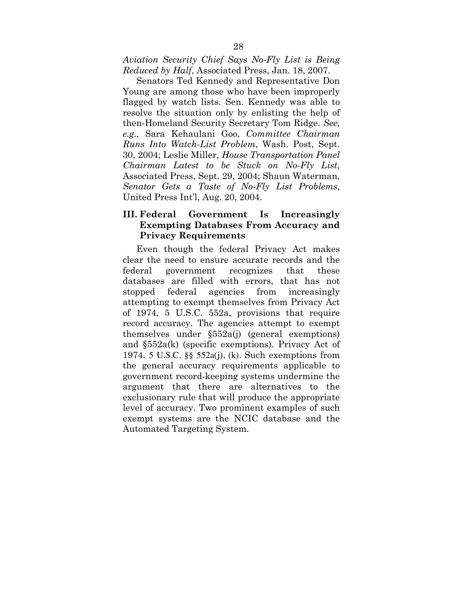*Aviation Security Chief Says No-Fly List is Being Reduced by Half*, Associated Press, Jan. 18, 2007.

Senators Ted Kennedy and Representative Don Young are among those who have been improperly flagged by watch lists. Sen. Kennedy was able to resolve the situation only by enlisting the help of then-Homeland Security Secretary Tom Ridge. *See, e.g.,* Sara Kehaulani Goo, *Committee Chairman Runs Into Watch-List Problem*, Wash. Post, Sept. 30, 2004; Leslie Miller, *House Transportation Panel Chairman Latest to be Stuck on No-Fly List*, Associated Press, Sept. 29, 2004; Shaun Waterman, *Senator Gets a Taste of No-Fly List Problems*, United Press Int'l, Aug. 20, 2004.

### **III. Federal Government Is Increasingly Exempting Databases From Accuracy and Privacy Requirements**

Even though the federal Privacy Act makes clear the need to ensure accurate records and the federal government recognizes that these databases are filled with errors, that has not stopped federal agencies from increasingly attempting to exempt themselves from Privacy Act of 1974, 5 U.S.C. 552a, provisions that require record accuracy. The agencies attempt to exempt themselves under §552a(j) (general exemptions) and §552a(k) (specific exemptions). Privacy Act of 1974. 5 U.S.C. §§ 552a(j), (k). Such exemptions from the general accuracy requirements applicable to government record-keeping systems undermine the argument that there are alternatives to the exclusionary rule that will produce the appropriate level of accuracy. Two prominent examples of such exempt systems are the NCIC database and the Automated Targeting System.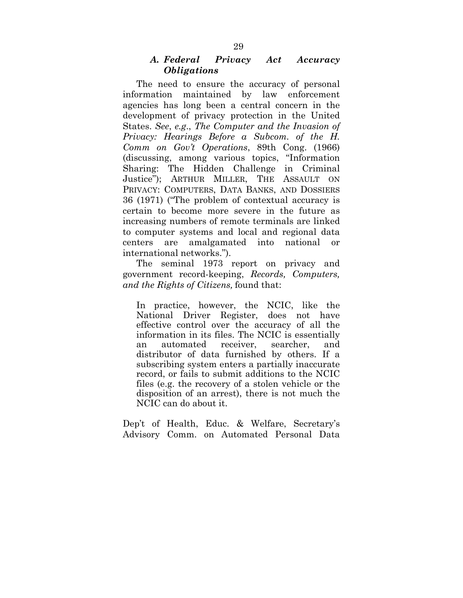### *A. Federal Privacy Act Accuracy Obligations*

The need to ensure the accuracy of personal information maintained by law enforcement agencies has long been a central concern in the development of privacy protection in the United States. *See*, *e.g*., *The Computer and the Invasion of Privacy: Hearings Before a Subcom. of the H. Comm on Gov't Operations*, 89th Cong. (1966) (discussing, among various topics, "Information Sharing: The Hidden Challenge in Criminal Justice"); ARTHUR MILLER, THE ASSAULT ON PRIVACY: COMPUTERS, DATA BANKS, AND DOSSIERS 36 (1971) ("The problem of contextual accuracy is certain to become more severe in the future as increasing numbers of remote terminals are linked to computer systems and local and regional data centers are amalgamated into national or international networks.").

The seminal 1973 report on privacy and government record-keeping, *Records, Computers, and the Rights of Citizens,* found that:

In practice, however, the NCIC, like the National Driver Register, does not have effective control over the accuracy of all the information in its files. The NCIC is essentially an automated receiver, searcher, and distributor of data furnished by others. If a subscribing system enters a partially inaccurate record, or fails to submit additions to the NCIC files (e.g. the recovery of a stolen vehicle or the disposition of an arrest), there is not much the NCIC can do about it.

Dep't of Health, Educ. & Welfare, Secretary's Advisory Comm. on Automated Personal Data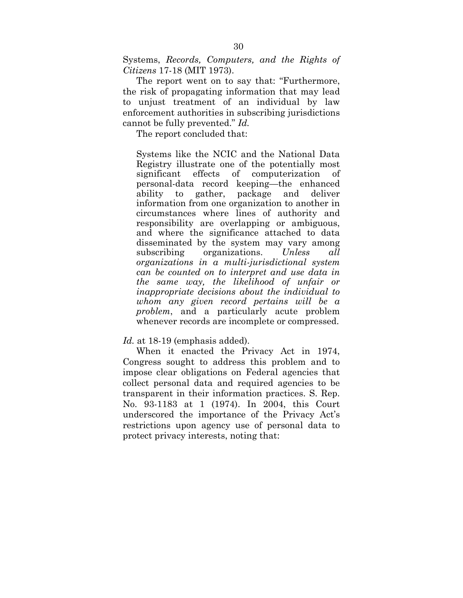Systems, *Records, Computers, and the Rights of Citizens* 17-18 (MIT 1973).

The report went on to say that: "Furthermore, the risk of propagating information that may lead to unjust treatment of an individual by law enforcement authorities in subscribing jurisdictions cannot be fully prevented." *Id.*

The report concluded that:

Systems like the NCIC and the National Data Registry illustrate one of the potentially most significant effects of computerization of personal-data record keeping—the enhanced ability to gather, package and deliver information from one organization to another in circumstances where lines of authority and responsibility are overlapping or ambiguous, and where the significance attached to data disseminated by the system may vary among subscribing organizations. *Unless all organizations in a multi-jurisdictional system can be counted on to interpret and use data in the same way, the likelihood of unfair or inappropriate decisions about the individual to whom any given record pertains will be a problem*, and a particularly acute problem whenever records are incomplete or compressed.

#### *Id.* at 18-19 (emphasis added).

When it enacted the Privacy Act in 1974, Congress sought to address this problem and to impose clear obligations on Federal agencies that collect personal data and required agencies to be transparent in their information practices. S. Rep. No. 93-1183 at 1 (1974). In 2004, this Court underscored the importance of the Privacy Act's restrictions upon agency use of personal data to protect privacy interests, noting that: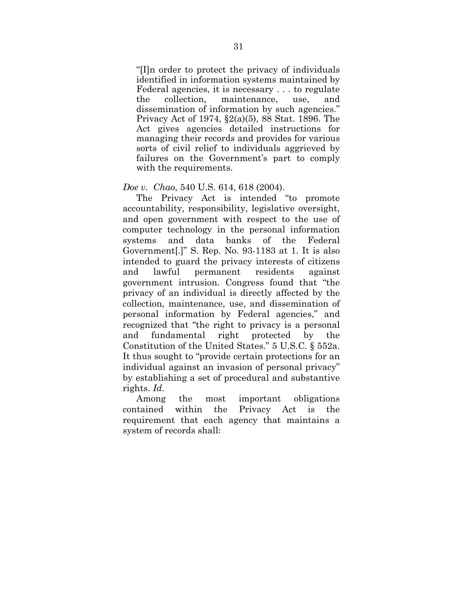"[I]n order to protect the privacy of individuals identified in information systems maintained by Federal agencies, it is necessary . . . to regulate the collection, maintenance, use, and dissemination of information by such agencies." Privacy Act of 1974, §2(a)(5), 88 Stat. 1896. The Act gives agencies detailed instructions for managing their records and provides for various sorts of civil relief to individuals aggrieved by failures on the Government's part to comply with the requirements.

#### *Doe v. Chao*, 540 U.S. 614, 618 (2004).

The Privacy Act is intended "to promote accountability, responsibility, legislative oversight, and open government with respect to the use of computer technology in the personal information systems and data banks of the Federal Government[.]" S. Rep. No. 93-1183 at 1. It is also intended to guard the privacy interests of citizens and lawful permanent residents against government intrusion. Congress found that "the privacy of an individual is directly affected by the collection, maintenance, use, and dissemination of personal information by Federal agencies," and recognized that "the right to privacy is a personal and fundamental right protected by the Constitution of the United States." 5 U.S.C. § 552a. It thus sought to "provide certain protections for an individual against an invasion of personal privacy" by establishing a set of procedural and substantive rights. *Id*.

Among the most important obligations contained within the Privacy Act is the requirement that each agency that maintains a system of records shall: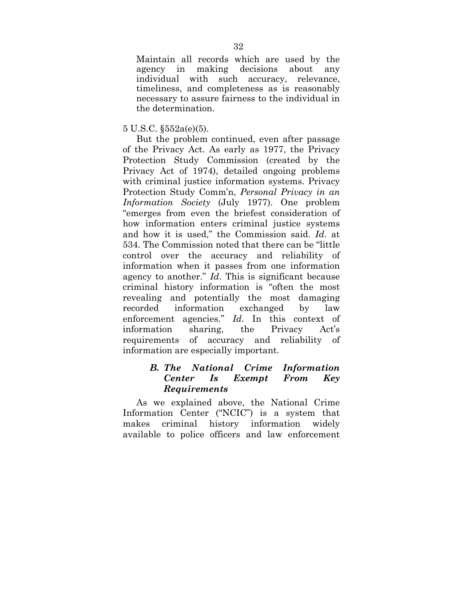Maintain all records which are used by the agency in making decisions about any individual with such accuracy, relevance, timeliness, and completeness as is reasonably necessary to assure fairness to the individual in the determination.

#### 5 U.S.C. §552a(e)(5).

But the problem continued, even after passage of the Privacy Act. As early as 1977, the Privacy Protection Study Commission (created by the Privacy Act of 1974), detailed ongoing problems with criminal justice information systems. Privacy Protection Study Comm'n, *Personal Privacy in an Information Society* (July 1977). One problem "emerges from even the briefest consideration of how information enters criminal justice systems and how it is used," the Commission said. *Id*. at 534. The Commission noted that there can be "little control over the accuracy and reliability of information when it passes from one information agency to another." *Id*. This is significant because criminal history information is "often the most revealing and potentially the most damaging recorded information exchanged by law enforcement agencies." *Id*. In this context of information sharing, the Privacy Act's requirements of accuracy and reliability of information are especially important.

### *B. The National Crime Information Center Is Exempt From Key Requirements*

As we explained above, the National Crime Information Center ("NCIC") is a system that makes criminal history information widely available to police officers and law enforcement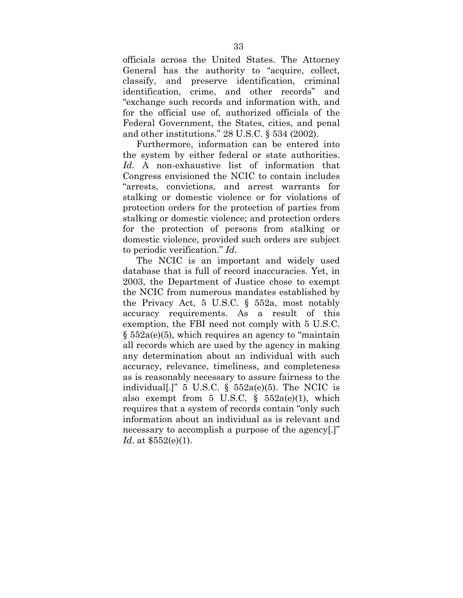officials across the United States. The Attorney General has the authority to "acquire, collect, classify, and preserve identification, criminal identification, crime, and other records" and "exchange such records and information with, and for the official use of, authorized officials of the Federal Government, the States, cities, and penal and other institutions." 28 U.S.C. § 534 (2002).

Furthermore, information can be entered into the system by either federal or state authorities. *Id.* A non-exhaustive list of information that Congress envisioned the NCIC to contain includes "arrests, convictions, and arrest warrants for stalking or domestic violence or for violations of protection orders for the protection of parties from stalking or domestic violence; and protection orders for the protection of persons from stalking or domestic violence, provided such orders are subject to periodic verification." *Id.*

The NCIC is an important and widely used database that is full of record inaccuracies. Yet, in 2003, the Department of Justice chose to exempt the NCIC from numerous mandates established by the Privacy Act, 5 U.S.C. § 552a, most notably accuracy requirements. As a result of this exemption, the FBI need not comply with 5 U.S.C. § 552a(e)(5), which requires an agency to "maintain all records which are used by the agency in making any determination about an individual with such accuracy, relevance, timeliness, and completeness as is reasonably necessary to assure fairness to the individual[.]" 5 U.S.C.  $\S$  552a(e)(5). The NCIC is also exempt from  $5 \text{ U.S.C. }$  §  $552a(e)(1)$ , which requires that a system of records contain "only such information about an individual as is relevant and necessary to accomplish a purpose of the agency.]" *Id*. at \$552(e)(1).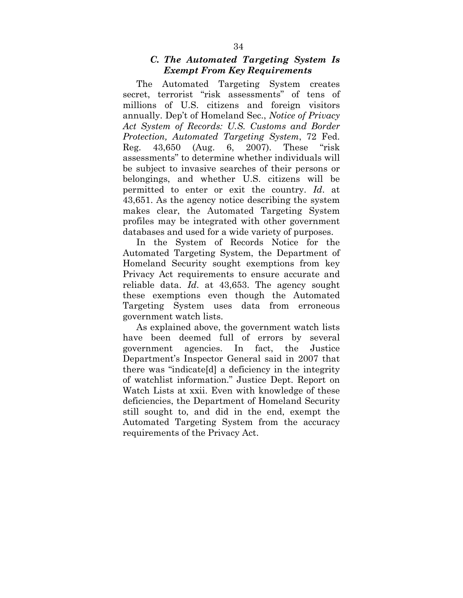### *C. The Automated Targeting System Is Exempt From Key Requirements*

The Automated Targeting System creates secret, terrorist "risk assessments" of tens of millions of U.S. citizens and foreign visitors annually. Dep't of Homeland Sec., *Notice of Privacy Act System of Records: U.S. Customs and Border Protection, Automated Targeting System*, 72 Fed. Reg. 43,650 (Aug. 6, 2007). These "risk assessments" to determine whether individuals will be subject to invasive searches of their persons or belongings, and whether U.S. citizens will be permitted to enter or exit the country. *Id*. at 43,651. As the agency notice describing the system makes clear, the Automated Targeting System profiles may be integrated with other government databases and used for a wide variety of purposes.

In the System of Records Notice for the Automated Targeting System, the Department of Homeland Security sought exemptions from key Privacy Act requirements to ensure accurate and reliable data. *Id*. at 43,653. The agency sought these exemptions even though the Automated Targeting System uses data from erroneous government watch lists.

As explained above, the government watch lists have been deemed full of errors by several government agencies. In fact, the Justice Department's Inspector General said in 2007 that there was "indicate[d] a deficiency in the integrity of watchlist information." Justice Dept. Report on Watch Lists at xxii. Even with knowledge of these deficiencies, the Department of Homeland Security still sought to, and did in the end, exempt the Automated Targeting System from the accuracy requirements of the Privacy Act.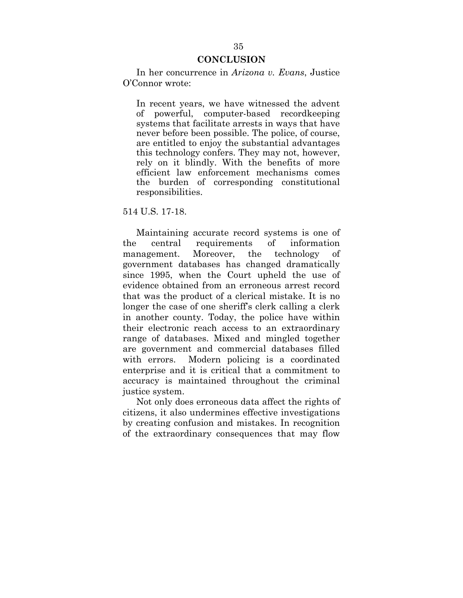#### **CONCLUSION**

In her concurrence in *Arizona v. Evans*, Justice O'Connor wrote:

In recent years, we have witnessed the advent of powerful, computer-based recordkeeping systems that facilitate arrests in ways that have never before been possible. The police, of course, are entitled to enjoy the substantial advantages this technology confers. They may not, however, rely on it blindly. With the benefits of more efficient law enforcement mechanisms comes the burden of corresponding constitutional responsibilities.

#### 514 U.S. 17-18.

Maintaining accurate record systems is one of the central requirements of information management. Moreover, the technology of government databases has changed dramatically since 1995, when the Court upheld the use of evidence obtained from an erroneous arrest record that was the product of a clerical mistake. It is no longer the case of one sheriff's clerk calling a clerk in another county. Today, the police have within their electronic reach access to an extraordinary range of databases. Mixed and mingled together are government and commercial databases filled with errors. Modern policing is a coordinated enterprise and it is critical that a commitment to accuracy is maintained throughout the criminal justice system.

Not only does erroneous data affect the rights of citizens, it also undermines effective investigations by creating confusion and mistakes. In recognition of the extraordinary consequences that may flow